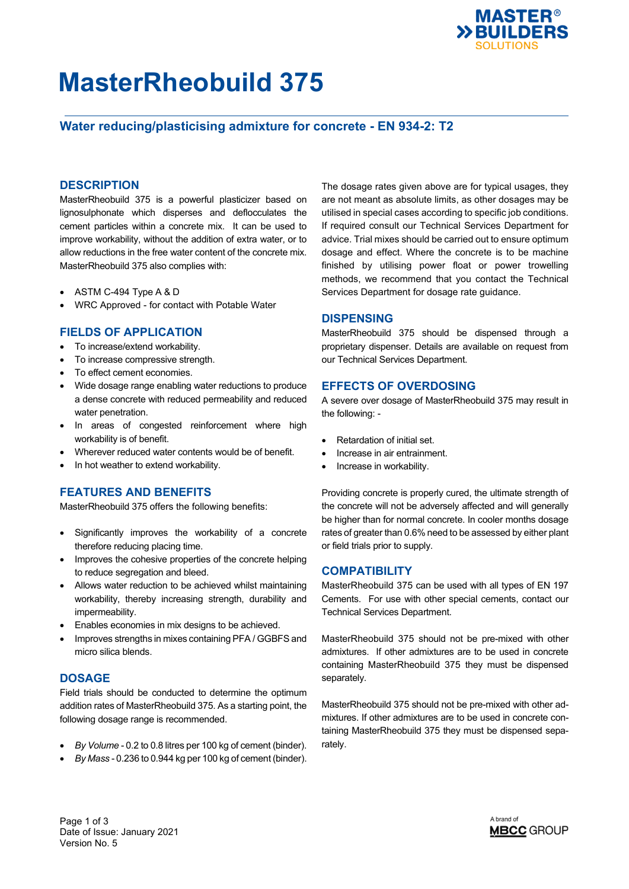

## **MasterRheobuild 375**

## **Water reducing/plasticising admixture for concrete - EN 934-2: T2**

### **DESCRIPTION**

MasterRheobuild 375 is a powerful plasticizer based on lignosulphonate which disperses and deflocculates the cement particles within a concrete mix. It can be used to improve workability, without the addition of extra water, or to allow reductions in the free water content of the concrete mix. MasterRheobuild 375 also complies with:

- ASTM C-494 Type A & D
- WRC Approved for contact with Potable Water

### **FIELDS OF APPLICATION**

- To increase/extend workability.
- To increase compressive strength.
- To effect cement economies.
- Wide dosage range enabling water reductions to produce a dense concrete with reduced permeability and reduced water penetration.
- In areas of congested reinforcement where high workability is of benefit.
- Wherever reduced water contents would be of benefit.
- In hot weather to extend workability.

### **FEATURES AND BENEFITS**

MasterRheobuild 375 offers the following benefits:

- Significantly improves the workability of a concrete therefore reducing placing time.
- Improves the cohesive properties of the concrete helping to reduce segregation and bleed.
- Allows water reduction to be achieved whilst maintaining workability, thereby increasing strength, durability and impermeability.
- Enables economies in mix designs to be achieved.
- Improves strengths in mixes containing PFA / GGBFS and micro silica blends.

### **DOSAGE**

Field trials should be conducted to determine the optimum addition rates of MasterRheobuild 375. As a starting point, the following dosage range is recommended.

- *By Volume* 0.2 to 0.8 litres per 100 kg of cement (binder).
- *By Mass* 0.236 to 0.944 kg per 100 kg of cement (binder).

The dosage rates given above are for typical usages, they are not meant as absolute limits, as other dosages may be utilised in special cases according to specific job conditions. If required consult our Technical Services Department for advice. Trial mixes should be carried out to ensure optimum dosage and effect. Where the concrete is to be machine finished by utilising power float or power trowelling methods, we recommend that you contact the Technical Services Department for dosage rate guidance.

### **DISPENSING**

MasterRheobuild 375 should be dispensed through a proprietary dispenser. Details are available on request from our Technical Services Department.

### **EFFECTS OF OVERDOSING**

A severe over dosage of MasterRheobuild 375 may result in the following: -

- Retardation of initial set.
- Increase in air entrainment.
- Increase in workability.

Providing concrete is properly cured, the ultimate strength of the concrete will not be adversely affected and will generally be higher than for normal concrete. In cooler months dosage rates of greater than 0.6% need to be assessed by either plant or field trials prior to supply.

### **COMPATIBILITY**

MasterRheobuild 375 can be used with all types of EN 197 Cements. For use with other special cements, contact our Technical Services Department.

MasterRheobuild 375 should not be pre-mixed with other admixtures. If other admixtures are to be used in concrete containing MasterRheobuild 375 they must be dispensed separately.

MasterRheobuild 375 should not be pre-mixed with other admixtures. If other admixtures are to be used in concrete containing MasterRheobuild 375 they must be dispensed separately.

Page 1 of 3 Date of Issue: January 2021 Version No. 5

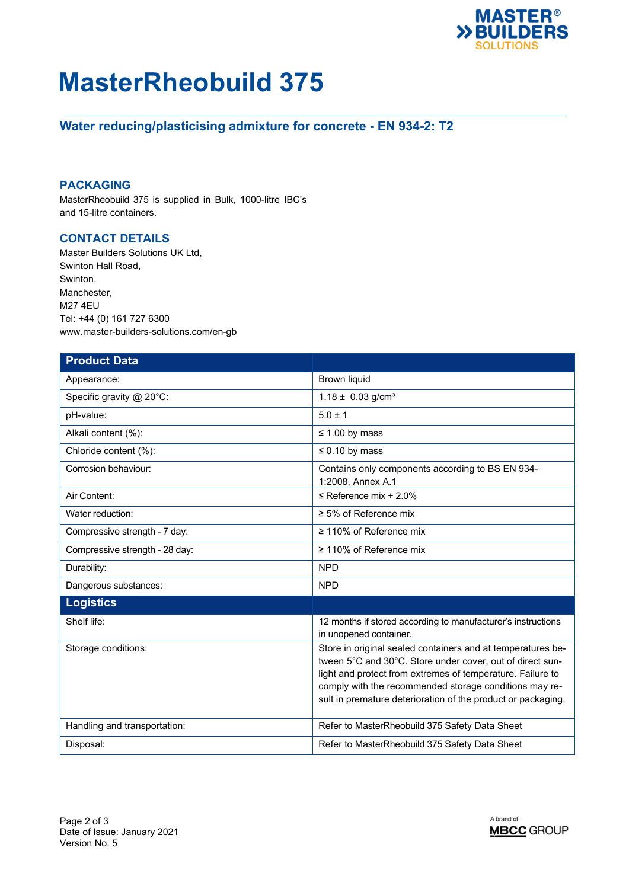

## **MasterRheobuild 375**

## **Water reducing/plasticising admixture for concrete - EN 934-2: T2**

### **PACKAGING**

MasterRheobuild 375 is supplied in Bulk, 1000-litre IBC's and 15-litre containers.

### **CONTACT DETAILS**

Master Builders Solutions UK Ltd, Swinton Hall Road, Swinton, Manchester, M27 4EU Tel: +44 (0) 161 727 6300 www.master-builders-solutions.com/en-gb

| <b>Product Data</b>            |                                                                                                                                                                                                                                                                                                                  |
|--------------------------------|------------------------------------------------------------------------------------------------------------------------------------------------------------------------------------------------------------------------------------------------------------------------------------------------------------------|
| Appearance:                    | <b>Brown liquid</b>                                                                                                                                                                                                                                                                                              |
| Specific gravity @ 20°C:       | $1.18 \pm 0.03$ g/cm <sup>3</sup>                                                                                                                                                                                                                                                                                |
| pH-value:                      | $5.0 \pm 1$                                                                                                                                                                                                                                                                                                      |
| Alkali content (%):            | $\leq$ 1.00 by mass                                                                                                                                                                                                                                                                                              |
| Chloride content (%):          | $\leq 0.10$ by mass                                                                                                                                                                                                                                                                                              |
| Corrosion behaviour:           | Contains only components according to BS EN 934-<br>1:2008, Annex A.1                                                                                                                                                                                                                                            |
| Air Content:                   | $\leq$ Reference mix + 2.0%                                                                                                                                                                                                                                                                                      |
| Water reduction:               | $\geq$ 5% of Reference mix                                                                                                                                                                                                                                                                                       |
| Compressive strength - 7 day:  | $\geq$ 110% of Reference mix                                                                                                                                                                                                                                                                                     |
| Compressive strength - 28 day: | ≥ 110% of Reference mix                                                                                                                                                                                                                                                                                          |
| Durability:                    | <b>NPD</b>                                                                                                                                                                                                                                                                                                       |
| Dangerous substances:          | <b>NPD</b>                                                                                                                                                                                                                                                                                                       |
| <b>Logistics</b>               |                                                                                                                                                                                                                                                                                                                  |
| Shelf life:                    | 12 months if stored according to manufacturer's instructions<br>in unopened container.                                                                                                                                                                                                                           |
| Storage conditions:            | Store in original sealed containers and at temperatures be-<br>tween 5°C and 30°C. Store under cover, out of direct sun-<br>light and protect from extremes of temperature. Failure to<br>comply with the recommended storage conditions may re-<br>sult in premature deterioration of the product or packaging. |
| Handling and transportation:   | Refer to MasterRheobuild 375 Safety Data Sheet                                                                                                                                                                                                                                                                   |
| Disposal:                      | Refer to MasterRheobuild 375 Safety Data Sheet                                                                                                                                                                                                                                                                   |